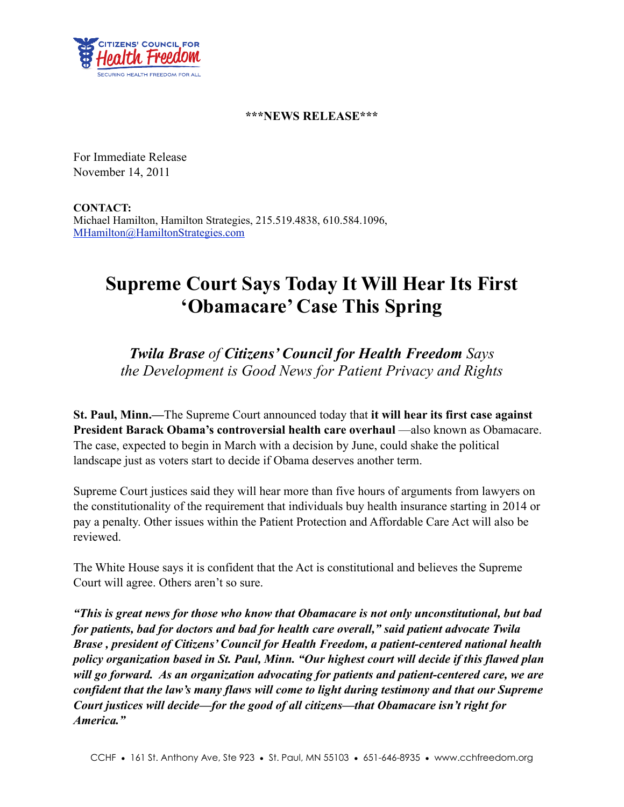

## **\*\*\*NEWS RELEASE\*\*\***

For Immediate Release November 14, 2011

**CONTACT:** Michael Hamilton, Hamilton Strategies, 215.519.4838, 610.584.1096, [MHamilton@HamiltonStrategies.com](mailto:MHamilton@HamiltonStrategies.com)

## **Supreme Court Says Today It Will Hear Its First 'Obamacare' Case This Spring**

*Twila Brase of Citizens' Council for Health Freedom Says the Development is Good News for Patient Privacy and Rights*

**St. Paul, Minn.—**The Supreme Court announced today that **it will hear its first case against President Barack Obama's controversial health care overhaul** —also known as Obamacare. The case, expected to begin in March with a decision by June, could shake the political landscape just as voters start to decide if Obama deserves another term.

Supreme Court justices said they will hear more than five hours of arguments from lawyers on the constitutionality of the requirement that individuals buy health insurance starting in 2014 or pay a penalty. Other issues within the Patient Protection and Affordable Care Act will also be reviewed.

The White House says it is confident that the Act is constitutional and believes the Supreme Court will agree. Others aren't so sure.

*"This is great news for those who know that Obamacare is not only unconstitutional, but bad for patients, bad for doctors and bad for health care overall," said patient advocate Twila Brase , president of Citizens' Council for Health Freedom, a patient-centered national health policy organization based in St. Paul, Minn. "Our highest court will decide if this flawed plan will go forward. As an organization advocating for patients and patient-centered care, we are confident that the law's many flaws will come to light during testimony and that our Supreme Court justices will decide—for the good of all citizens—that Obamacare isn't right for America."*